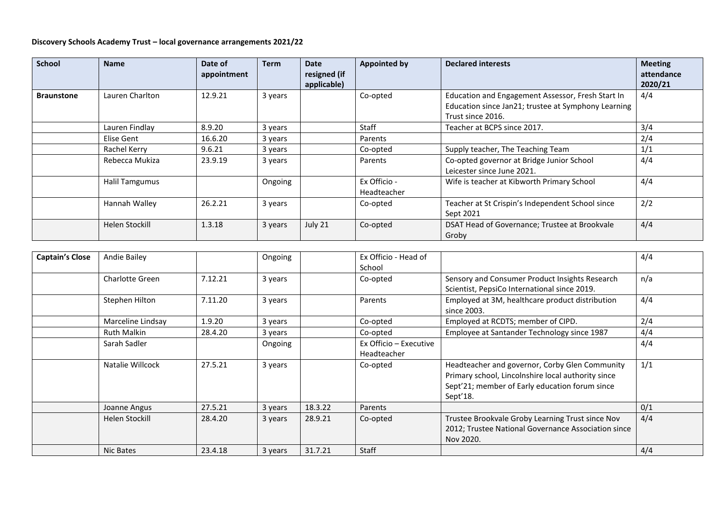## **Discovery Schools Academy Trust – local governance arrangements 2021/22**

| <b>School</b>     | <b>Name</b>           | Date of<br>appointment | <b>Term</b> | <b>Date</b><br>resigned (if | <b>Appointed by</b>         | <b>Declared interests</b>                                                                                                     | <b>Meeting</b><br>attendance |
|-------------------|-----------------------|------------------------|-------------|-----------------------------|-----------------------------|-------------------------------------------------------------------------------------------------------------------------------|------------------------------|
| <b>Braunstone</b> | Lauren Charlton       | 12.9.21                | 3 years     | applicable)                 | Co-opted                    | Education and Engagement Assessor, Fresh Start In<br>Education since Jan21; trustee at Symphony Learning<br>Trust since 2016. | 2020/21<br>4/4               |
|                   | Lauren Findlay        | 8.9.20                 | 3 years     |                             | <b>Staff</b>                | Teacher at BCPS since 2017.                                                                                                   | 3/4                          |
|                   | Elise Gent            | 16.6.20                | 3 years     |                             | Parents                     |                                                                                                                               | 2/4                          |
|                   | Rachel Kerry          | 9.6.21                 | 3 years     |                             | Co-opted                    | Supply teacher, The Teaching Team                                                                                             | 1/1                          |
|                   | Rebecca Mukiza        | 23.9.19                | 3 years     |                             | Parents                     | Co-opted governor at Bridge Junior School<br>Leicester since June 2021.                                                       | 4/4                          |
|                   | <b>Halil Tamgumus</b> |                        | Ongoing     |                             | Ex Officio -<br>Headteacher | Wife is teacher at Kibworth Primary School                                                                                    | 4/4                          |
|                   | Hannah Walley         | 26.2.21                | 3 years     |                             | Co-opted                    | Teacher at St Crispin's Independent School since<br>Sept 2021                                                                 | 2/2                          |
|                   | Helen Stockill        | 1.3.18                 | 3 years     | July 21                     | Co-opted                    | DSAT Head of Governance; Trustee at Brookvale<br>Groby                                                                        | 4/4                          |

| <b>Captain's Close</b> | <b>Andie Bailey</b>    |         | Ongoing |         | Ex Officio - Head of   |                                                     | 4/4 |
|------------------------|------------------------|---------|---------|---------|------------------------|-----------------------------------------------------|-----|
|                        |                        |         |         |         | School                 |                                                     |     |
|                        | <b>Charlotte Green</b> | 7.12.21 | 3 years |         | Co-opted               | Sensory and Consumer Product Insights Research      | n/a |
|                        |                        |         |         |         |                        | Scientist, PepsiCo International since 2019.        |     |
|                        | Stephen Hilton         | 7.11.20 | 3 years |         | Parents                | Employed at 3M, healthcare product distribution     | 4/4 |
|                        |                        |         |         |         |                        | since 2003.                                         |     |
|                        | Marceline Lindsay      | 1.9.20  | 3 years |         | Co-opted               | Employed at RCDTS; member of CIPD.                  | 2/4 |
|                        | <b>Ruth Malkin</b>     | 28.4.20 | 3 years |         | Co-opted               | Employee at Santander Technology since 1987         | 4/4 |
|                        | Sarah Sadler           |         | Ongoing |         | Ex Officio – Executive |                                                     | 4/4 |
|                        |                        |         |         |         | Headteacher            |                                                     |     |
|                        | Natalie Willcock       | 27.5.21 | 3 years |         | Co-opted               | Headteacher and governor, Corby Glen Community      | 1/1 |
|                        |                        |         |         |         |                        | Primary school, Lincolnshire local authority since  |     |
|                        |                        |         |         |         |                        | Sept'21; member of Early education forum since      |     |
|                        |                        |         |         |         |                        | Sept'18.                                            |     |
|                        | Joanne Angus           | 27.5.21 | 3 years | 18.3.22 | Parents                |                                                     | 0/1 |
|                        | Helen Stockill         | 28.4.20 | 3 years | 28.9.21 | Co-opted               | Trustee Brookvale Groby Learning Trust since Nov    | 4/4 |
|                        |                        |         |         |         |                        | 2012; Trustee National Governance Association since |     |
|                        |                        |         |         |         |                        | Nov 2020.                                           |     |
|                        | Nic Bates              | 23.4.18 | 3 years | 31.7.21 | Staff                  |                                                     | 4/4 |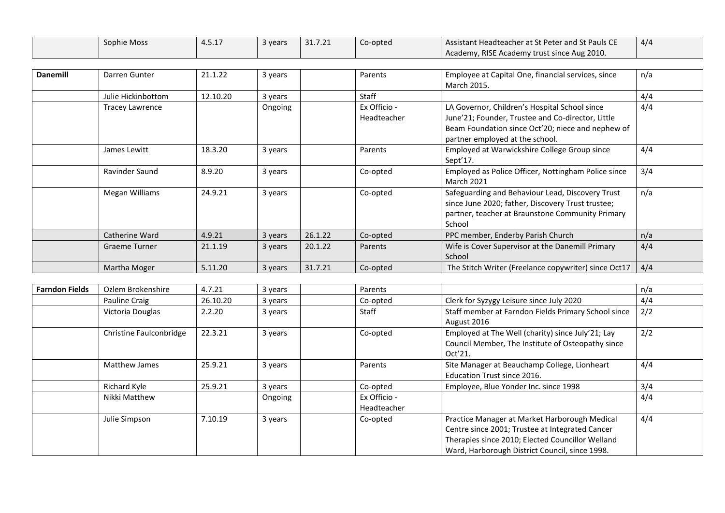| Sophie Moss | $ -$<br>1.J.L | रे years | 31.7.21 | Co-opted | Assistant Headteacher at St Peter and St Pauls CE | 4/2 |
|-------------|---------------|----------|---------|----------|---------------------------------------------------|-----|
|             |               |          |         |          | Academy, RISE Academy trust since Aug 2010.       |     |

| <b>Danemill</b> | Darren Gunter      | 21.1.22  | 3 years |         | Parents                     | Employee at Capital One, financial services, since<br>March 2015.                                                                                                                          | n/a |
|-----------------|--------------------|----------|---------|---------|-----------------------------|--------------------------------------------------------------------------------------------------------------------------------------------------------------------------------------------|-----|
|                 | Julie Hickinbottom | 12.10.20 | 3 years |         | Staff                       |                                                                                                                                                                                            | 4/4 |
|                 | Tracey Lawrence    |          | Ongoing |         | Ex Officio -<br>Headteacher | LA Governor, Children's Hospital School since<br>June'21; Founder, Trustee and Co-director, Little<br>Beam Foundation since Oct'20; niece and nephew of<br>partner employed at the school. | 4/4 |
|                 | James Lewitt       | 18.3.20  | 3 years |         | Parents                     | Employed at Warwickshire College Group since<br>Sept'17.                                                                                                                                   | 4/4 |
|                 | Ravinder Saund     | 8.9.20   | 3 years |         | Co-opted                    | Employed as Police Officer, Nottingham Police since<br><b>March 2021</b>                                                                                                                   | 3/4 |
|                 | Megan Williams     | 24.9.21  | 3 years |         | Co-opted                    | Safeguarding and Behaviour Lead, Discovery Trust<br>since June 2020; father, Discovery Trust trustee;<br>partner, teacher at Braunstone Community Primary<br>School                        | n/a |
|                 | Catherine Ward     | 4.9.21   | 3 years | 26.1.22 | Co-opted                    | PPC member, Enderby Parish Church                                                                                                                                                          | n/a |
|                 | Graeme Turner      | 21.1.19  | 3 years | 20.1.22 | Parents                     | Wife is Cover Supervisor at the Danemill Primary<br>School                                                                                                                                 | 4/4 |
|                 | Martha Moger       | 5.11.20  | 3 years | 31.7.21 | Co-opted                    | The Stitch Writer (Freelance copywriter) since Oct17                                                                                                                                       | 4/4 |

| <b>Farndon Fields</b> | Ozlem Brokenshire       | 4.7.21   | 3 years | Parents                     |                                                                                                                                                                                                        | n/a |
|-----------------------|-------------------------|----------|---------|-----------------------------|--------------------------------------------------------------------------------------------------------------------------------------------------------------------------------------------------------|-----|
|                       | Pauline Craig           | 26.10.20 | 3 years | Co-opted                    | Clerk for Syzygy Leisure since July 2020                                                                                                                                                               | 4/4 |
|                       | Victoria Douglas        | 2.2.20   | 3 years | Staff                       | Staff member at Farndon Fields Primary School since<br>August 2016                                                                                                                                     | 2/2 |
|                       | Christine Faulconbridge | 22.3.21  | 3 years | Co-opted                    | Employed at The Well (charity) since July'21; Lay<br>Council Member, The Institute of Osteopathy since<br>Oct'21.                                                                                      | 2/2 |
|                       | <b>Matthew James</b>    | 25.9.21  | 3 years | Parents                     | Site Manager at Beauchamp College, Lionheart<br>Education Trust since 2016.                                                                                                                            | 4/4 |
|                       | Richard Kyle            | 25.9.21  | 3 years | Co-opted                    | Employee, Blue Yonder Inc. since 1998                                                                                                                                                                  | 3/4 |
|                       | Nikki Matthew           |          | Ongoing | Ex Officio -<br>Headteacher |                                                                                                                                                                                                        | 4/4 |
|                       | Julie Simpson           | 7.10.19  | 3 years | Co-opted                    | Practice Manager at Market Harborough Medical<br>Centre since 2001; Trustee at Integrated Cancer<br>Therapies since 2010; Elected Councillor Welland<br>Ward, Harborough District Council, since 1998. | 4/4 |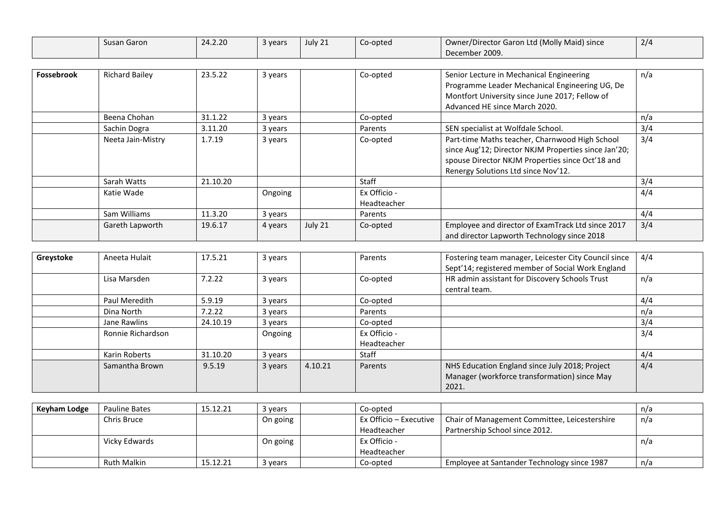|                   | Susan Garon           | 24.2.20  | 3 years | July 21 | Co-opted                    | Owner/Director Garon Ltd (Molly Maid) since<br>December 2009.                                                                                                                                     | 2/4 |
|-------------------|-----------------------|----------|---------|---------|-----------------------------|---------------------------------------------------------------------------------------------------------------------------------------------------------------------------------------------------|-----|
|                   |                       |          |         |         |                             |                                                                                                                                                                                                   |     |
| <b>Fossebrook</b> | <b>Richard Bailey</b> | 23.5.22  | 3 years |         | Co-opted                    | Senior Lecture in Mechanical Engineering<br>Programme Leader Mechanical Engineering UG, De<br>Montfort University since June 2017; Fellow of<br>Advanced HE since March 2020.                     | n/a |
|                   | Beena Chohan          | 31.1.22  | 3 years |         | Co-opted                    |                                                                                                                                                                                                   | n/a |
|                   | Sachin Dogra          | 3.11.20  | 3 years |         | Parents                     | SEN specialist at Wolfdale School.                                                                                                                                                                | 3/4 |
|                   | Neeta Jain-Mistry     | 1.7.19   | 3 years |         | Co-opted                    | Part-time Maths teacher, Charnwood High School<br>since Aug'12; Director NKJM Properties since Jan'20;<br>spouse Director NKJM Properties since Oct'18 and<br>Renergy Solutions Ltd since Nov'12. | 3/4 |
|                   | Sarah Watts           | 21.10.20 |         |         | Staff                       |                                                                                                                                                                                                   | 3/4 |
|                   | Katie Wade            |          | Ongoing |         | Ex Officio -<br>Headteacher |                                                                                                                                                                                                   | 4/4 |
|                   | Sam Williams          | 11.3.20  | 3 years |         | Parents                     |                                                                                                                                                                                                   | 4/4 |
|                   | Gareth Lapworth       | 19.6.17  | 4 years | July 21 | Co-opted                    | Employee and director of ExamTrack Ltd since 2017<br>and director Lapworth Technology since 2018                                                                                                  | 3/4 |
|                   |                       |          |         |         |                             |                                                                                                                                                                                                   |     |

| Greystoke | Aneeta Hulait     | 17.5.21  | 3 years |         | Parents      | Fostering team manager, Leicester City Council since            | 4/4 |
|-----------|-------------------|----------|---------|---------|--------------|-----------------------------------------------------------------|-----|
|           |                   |          |         |         |              | Sept'14; registered member of Social Work England               |     |
|           | Lisa Marsden      | 7.2.22   | 3 years |         | Co-opted     | HR admin assistant for Discovery Schools Trust<br>central team. | n/a |
|           | Paul Meredith     | 5.9.19   | 3 years |         | Co-opted     |                                                                 | 4/4 |
|           | Dina North        | 7.2.22   | 3 years |         | Parents      |                                                                 | n/a |
|           | Jane Rawlins      | 24.10.19 | 3 years |         | Co-opted     |                                                                 | 3/4 |
|           | Ronnie Richardson |          | Ongoing |         | Ex Officio - |                                                                 | 3/4 |
|           |                   |          |         |         | Headteacher  |                                                                 |     |
|           | Karin Roberts     | 31.10.20 | 3 years |         | <b>Staff</b> |                                                                 | 4/4 |
|           | Samantha Brown    | 9.5.19   | 3 years | 4.10.21 | Parents      | NHS Education England since July 2018; Project                  | 4/4 |
|           |                   |          |         |         |              | Manager (workforce transformation) since May                    |     |
|           |                   |          |         |         |              | 2021.                                                           |     |

| Keyham Lodge | <b>Pauline Bates</b> | 15.12.21 | 3 years  | Co-opted               |                                               | n/a |
|--------------|----------------------|----------|----------|------------------------|-----------------------------------------------|-----|
|              | Chris Bruce          |          | On going | Ex Officio – Executive | Chair of Management Committee, Leicestershire | n/a |
|              |                      |          |          | Headteacher            | Partnership School since 2012.                |     |
|              | Vicky Edwards        |          | On going | Ex Officio -           |                                               | n/a |
|              |                      |          |          | Headteacher            |                                               |     |
|              | Ruth Malkin          | 15.12.21 | 3 years  | Co-opted               | Employee at Santander Technology since 1987   | n/a |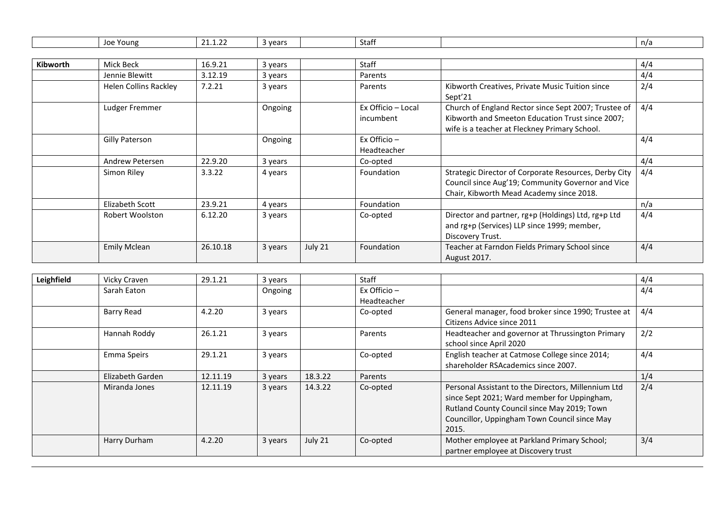|  | $\sim$<br>. .<br>wears)<br>Young<br>n/a<br>Staff<br>JOP.<br>vcar.<br>. |  |
|--|------------------------------------------------------------------------|--|
|--|------------------------------------------------------------------------|--|

| Kibworth | Mick Beck                    | 16.9.21  | 3 years |         | Staff                           |                                                                                                                                                           | 4/4 |
|----------|------------------------------|----------|---------|---------|---------------------------------|-----------------------------------------------------------------------------------------------------------------------------------------------------------|-----|
|          | Jennie Blewitt               | 3.12.19  | 3 years |         | Parents                         |                                                                                                                                                           | 4/4 |
|          | <b>Helen Collins Rackley</b> | 7.2.21   | 3 years |         | Parents                         | Kibworth Creatives, Private Music Tuition since<br>Sept <sup>'21</sup>                                                                                    | 2/4 |
|          | Ludger Fremmer               |          | Ongoing |         | Ex Officio - Local<br>incumbent | Church of England Rector since Sept 2007; Trustee of<br>Kibworth and Smeeton Education Trust since 2007;<br>wife is a teacher at Fleckney Primary School. | 4/4 |
|          | Gilly Paterson               |          | Ongoing |         | Ex Officio $-$<br>Headteacher   |                                                                                                                                                           | 4/4 |
|          | Andrew Petersen              | 22.9.20  | 3 years |         | Co-opted                        |                                                                                                                                                           | 4/4 |
|          | Simon Riley                  | 3.3.22   | 4 years |         | Foundation                      | Strategic Director of Corporate Resources, Derby City<br>Council since Aug'19; Community Governor and Vice<br>Chair, Kibworth Mead Academy since 2018.    | 4/4 |
|          | Elizabeth Scott              | 23.9.21  | 4 years |         | Foundation                      |                                                                                                                                                           | n/a |
|          | Robert Woolston              | 6.12.20  | 3 years |         | Co-opted                        | Director and partner, rg+p (Holdings) Ltd, rg+p Ltd<br>and rg+p (Services) LLP since 1999; member,<br>Discovery Trust.                                    | 4/4 |
|          | <b>Emily Mclean</b>          | 26.10.18 | 3 years | July 21 | Foundation                      | Teacher at Farndon Fields Primary School since<br>August 2017.                                                                                            | 4/4 |

| Leighfield | Vicky Craven     | 29.1.21  | 3 years |         | Staff                         |                                                                                                                                                                                                            | 4/4 |
|------------|------------------|----------|---------|---------|-------------------------------|------------------------------------------------------------------------------------------------------------------------------------------------------------------------------------------------------------|-----|
|            | Sarah Eaton      |          | Ongoing |         | Ex Officio $-$<br>Headteacher |                                                                                                                                                                                                            | 4/4 |
|            | Barry Read       | 4.2.20   | 3 years |         | Co-opted                      | General manager, food broker since 1990; Trustee at<br>Citizens Advice since 2011                                                                                                                          | 4/4 |
|            | Hannah Roddy     | 26.1.21  | 3 years |         | Parents                       | Headteacher and governor at Thrussington Primary<br>school since April 2020                                                                                                                                | 2/2 |
|            | Emma Speirs      | 29.1.21  | 3 years |         | Co-opted                      | English teacher at Catmose College since 2014;<br>shareholder RSAcademics since 2007.                                                                                                                      | 4/4 |
|            | Elizabeth Garden | 12.11.19 | 3 years | 18.3.22 | Parents                       |                                                                                                                                                                                                            | 1/4 |
|            | Miranda Jones    | 12.11.19 | 3 years | 14.3.22 | Co-opted                      | Personal Assistant to the Directors, Millennium Ltd<br>since Sept 2021; Ward member for Uppingham,<br>Rutland County Council since May 2019; Town<br>Councillor, Uppingham Town Council since May<br>2015. | 2/4 |
|            | Harry Durham     | 4.2.20   | 3 years | July 21 | Co-opted                      | Mother employee at Parkland Primary School;<br>partner employee at Discovery trust                                                                                                                         | 3/4 |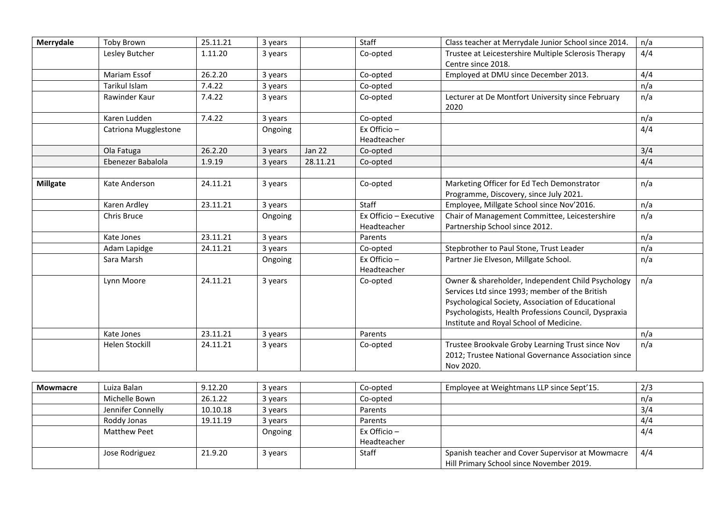| Merrydale       | <b>Toby Brown</b>     | 25.11.21 | 3 years |               | Staff                         | Class teacher at Merrydale Junior School since 2014.                                                                                                                                                                                                        | n/a |
|-----------------|-----------------------|----------|---------|---------------|-------------------------------|-------------------------------------------------------------------------------------------------------------------------------------------------------------------------------------------------------------------------------------------------------------|-----|
|                 | Lesley Butcher        | 1.11.20  | 3 years |               | Co-opted                      | Trustee at Leicestershire Multiple Sclerosis Therapy                                                                                                                                                                                                        | 4/4 |
|                 |                       |          |         |               |                               | Centre since 2018.                                                                                                                                                                                                                                          |     |
|                 | Mariam Essof          | 26.2.20  | 3 years |               | Co-opted                      | Employed at DMU since December 2013.                                                                                                                                                                                                                        | 4/4 |
|                 | Tarikul Islam         | 7.4.22   | 3 years |               | Co-opted                      |                                                                                                                                                                                                                                                             | n/a |
|                 | Rawinder Kaur         | 7.4.22   | 3 years |               | Co-opted                      | Lecturer at De Montfort University since February<br>2020                                                                                                                                                                                                   | n/a |
|                 | Karen Ludden          | 7.4.22   | 3 years |               | Co-opted                      |                                                                                                                                                                                                                                                             | n/a |
|                 | Catriona Mugglestone  |          | Ongoing |               | Ex Officio $-$                |                                                                                                                                                                                                                                                             | 4/4 |
|                 |                       |          |         |               | Headteacher                   |                                                                                                                                                                                                                                                             |     |
|                 | Ola Fatuga            | 26.2.20  | 3 years | <b>Jan 22</b> | Co-opted                      |                                                                                                                                                                                                                                                             | 3/4 |
|                 | Ebenezer Babalola     | 1.9.19   | 3 years | 28.11.21      | Co-opted                      |                                                                                                                                                                                                                                                             | 4/4 |
|                 |                       |          |         |               |                               |                                                                                                                                                                                                                                                             |     |
| <b>Millgate</b> | Kate Anderson         | 24.11.21 | 3 years |               | Co-opted                      | Marketing Officer for Ed Tech Demonstrator<br>Programme, Discovery, since July 2021.                                                                                                                                                                        | n/a |
|                 | Karen Ardley          | 23.11.21 | 3 years |               | Staff                         | Employee, Millgate School since Nov'2016.                                                                                                                                                                                                                   | n/a |
|                 | Chris Bruce           |          | Ongoing |               | Ex Officio - Executive        | Chair of Management Committee, Leicestershire                                                                                                                                                                                                               | n/a |
|                 |                       |          |         |               | Headteacher                   | Partnership School since 2012.                                                                                                                                                                                                                              |     |
|                 | Kate Jones            | 23.11.21 | 3 years |               | Parents                       |                                                                                                                                                                                                                                                             | n/a |
|                 | Adam Lapidge          | 24.11.21 | 3 years |               | Co-opted                      | Stepbrother to Paul Stone, Trust Leader                                                                                                                                                                                                                     | n/a |
|                 | Sara Marsh            |          | Ongoing |               | Ex Officio $-$<br>Headteacher | Partner Jie Elveson, Millgate School.                                                                                                                                                                                                                       | n/a |
|                 | Lynn Moore            | 24.11.21 | 3 years |               | Co-opted                      | Owner & shareholder, Independent Child Psychology<br>Services Ltd since 1993; member of the British<br>Psychological Society, Association of Educational<br>Psychologists, Health Professions Council, Dyspraxia<br>Institute and Royal School of Medicine. | n/a |
|                 | Kate Jones            | 23.11.21 | 3 years |               | Parents                       |                                                                                                                                                                                                                                                             | n/a |
|                 | <b>Helen Stockill</b> | 24.11.21 | 3 years |               | Co-opted                      | Trustee Brookvale Groby Learning Trust since Nov<br>2012; Trustee National Governance Association since<br>Nov 2020.                                                                                                                                        | n/a |

| Mowmacre | Luiza Balan       | 9.12.20  | 3 years | Co-opted       | Employee at Weightmans LLP since Sept'15.        | 2/3 |
|----------|-------------------|----------|---------|----------------|--------------------------------------------------|-----|
|          | Michelle Bown     | 26.1.22  | 3 years | Co-opted       |                                                  | n/a |
|          | Jennifer Connelly | 10.10.18 | 3 years | Parents        |                                                  | 3/4 |
|          | Roddy Jonas       | 19.11.19 | 3 years | Parents        |                                                  | 4/4 |
|          | Matthew Peet      |          | Ongoing | Ex Officio $-$ |                                                  | 4/4 |
|          |                   |          |         | Headteacher    |                                                  |     |
|          | Jose Rodriguez    | 21.9.20  | 3 years | Staff          | Spanish teacher and Cover Supervisor at Mowmacre | 4/4 |
|          |                   |          |         |                | Hill Primary School since November 2019.         |     |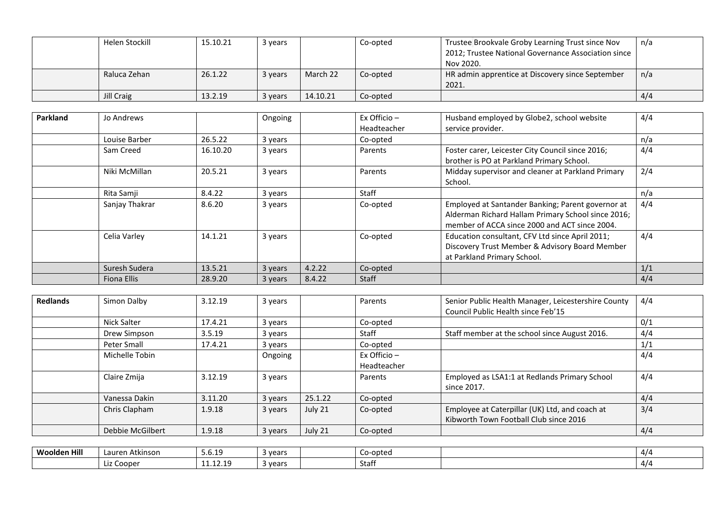| Helen Stockill | 15.10.21 | 3 years |          | Co-opted | Trustee Brookvale Groby Learning Trust since Nov    | n/a |
|----------------|----------|---------|----------|----------|-----------------------------------------------------|-----|
|                |          |         |          |          | 2012; Trustee National Governance Association since |     |
|                |          |         |          |          | Nov 2020.                                           |     |
| Raluca Zehan   | 26.1.22  | 3 years | March 22 | Co-opted | HR admin apprentice at Discovery since September    | n/a |
|                |          |         |          |          | 2021.                                               |     |
| Jill Craig     | 13.2.19  | 3 years | 14.10.21 | Co-opted |                                                     | 4/4 |

| Parkland | Jo Andrews     |          | Ongoing |        | Ex Officio -<br>Headteacher | Husband employed by Globe2, school website<br>service provider.                                                                                          | 4/4 |
|----------|----------------|----------|---------|--------|-----------------------------|----------------------------------------------------------------------------------------------------------------------------------------------------------|-----|
|          | Louise Barber  | 26.5.22  | 3 years |        | Co-opted                    |                                                                                                                                                          | n/a |
|          | Sam Creed      | 16.10.20 | 3 years |        | Parents                     | Foster carer, Leicester City Council since 2016;<br>brother is PO at Parkland Primary School.                                                            | 4/4 |
|          | Niki McMillan  | 20.5.21  | 3 years |        | Parents                     | Midday supervisor and cleaner at Parkland Primary<br>School.                                                                                             | 2/4 |
|          | Rita Samji     | 8.4.22   | 3 years |        | Staff                       |                                                                                                                                                          | n/a |
|          | Sanjay Thakrar | 8.6.20   | 3 years |        | Co-opted                    | Employed at Santander Banking; Parent governor at<br>Alderman Richard Hallam Primary School since 2016;<br>member of ACCA since 2000 and ACT since 2004. | 4/4 |
|          | Celia Varley   | 14.1.21  | 3 years |        | Co-opted                    | Education consultant, CFV Ltd since April 2011;<br>Discovery Trust Member & Advisory Board Member<br>at Parkland Primary School.                         | 4/4 |
|          | Suresh Sudera  | 13.5.21  | 3 years | 4.2.22 | Co-opted                    |                                                                                                                                                          | 1/1 |
|          | Fiona Ellis    | 28.9.20  | 3 years | 8.4.22 | <b>Staff</b>                |                                                                                                                                                          | 4/4 |

| <b>Redlands</b> | Simon Dalby      | 3.12.19 | 3 years |         | Parents                       | Senior Public Health Manager, Leicestershire County<br>Council Public Health since Feb'15 | 4/4 |
|-----------------|------------------|---------|---------|---------|-------------------------------|-------------------------------------------------------------------------------------------|-----|
|                 | Nick Salter      | 17.4.21 | 3 years |         | Co-opted                      |                                                                                           | 0/1 |
|                 | Drew Simpson     | 3.5.19  | 3 years |         | Staff                         | Staff member at the school since August 2016.                                             | 4/4 |
|                 | Peter Small      | 17.4.21 | 3 years |         | Co-opted                      |                                                                                           | 1/1 |
|                 | Michelle Tobin   |         | Ongoing |         | Ex Officio $-$<br>Headteacher |                                                                                           | 4/4 |
|                 | Claire Zmija     | 3.12.19 | 3 years |         | Parents                       | Employed as LSA1:1 at Redlands Primary School<br>since 2017.                              | 4/4 |
|                 | Vanessa Dakin    | 3.11.20 | 3 years | 25.1.22 | Co-opted                      |                                                                                           | 4/4 |
|                 | Chris Clapham    | 1.9.18  | 3 years | July 21 | Co-opted                      | Employee at Caterpillar (UK) Ltd, and coach at                                            | 3/4 |
|                 |                  |         |         |         |                               | Kibworth Town Football Club since 2016                                                    |     |
|                 | Debbie McGilbert | 1.9.18  | 3 years | July 21 | Co-opted                      |                                                                                           | 4/4 |

| <b>Woolden Hill</b> | .<br>Atkinson<br>Lauren | 5.6.19                  | 3 vears | -opted<br>CO-C | 4/4      |
|---------------------|-------------------------|-------------------------|---------|----------------|----------|
|                     | Liz Cooper              | 1111710<br>. <i>. .</i> | 3 years | Staff          | $4/\ell$ |